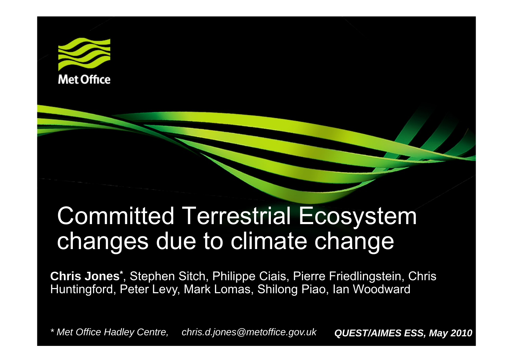

### Committed Terrestrial Ecosystem changes due to climate change

**Chris Jones\***, Stephen Sitch, Philippe Ciais, Pierre Friedlingstein, Chris Huntingford, Peter Levy, Mark Lomas, Shilong Piao, Ian Woodward

*\* Met Office Hadley Centre, chris.d.jones@metoffice.gov.uk QUEST/AIMES ESS, May 2010*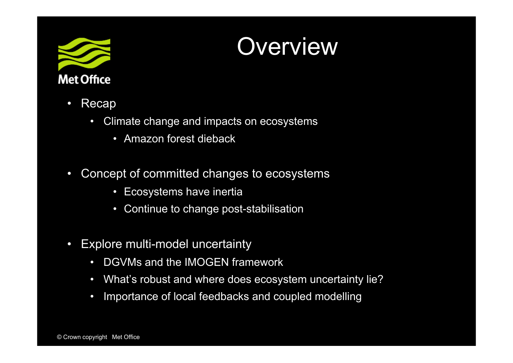

### **Overview**

- $\bullet$  Recap
	- $\bullet$  Climate change and impacts on ecosystems
		- $\bullet$ Amazon forest dieback
- $\bullet$  Concept of committed changes to ecosystems
	- •Ecosystems have inertia
	- $\bullet$ Continue to change post-stabilisation
- $\bullet$  Explore multi-model uncertainty
	- $\bullet$ DGVMs and the IMOGEN framework
	- $\bullet$ What's robust and where does ecosystem uncertainty lie?
	- $\bullet$ Importance of local feedbacks and coupled modelling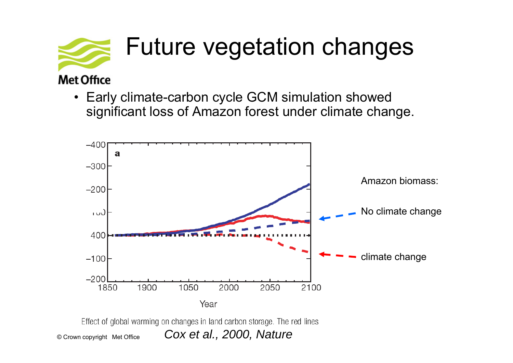

• Early climate-carbon cycle GCM simulation showed significant loss of Amazon forest under climate change.



© Crown copyright Met Office

*Cox et al., 2000, Nature*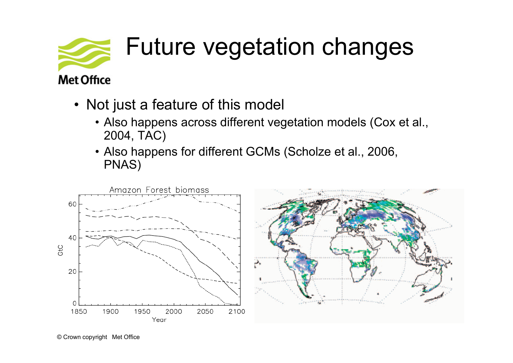

- Not just a feature of this model
	- Also happens across different vegetation models (Cox et al., 2004, TAC)
	- Also happens for different GCMs (Scholze et al., 2006, PNAS)

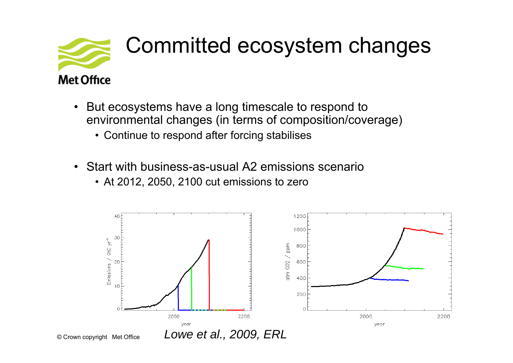

### Committed ecosystem changes

#### $\bullet$  But ecosystems have a long timescale to respond to environmental changes (in terms of composition/coverage)

- Continue to respond after forcing stabilises
- $\bullet$  Start with business-as-usual A2 emissions scenario
	- At 2012, 2050, 2100 cut emissions to zero

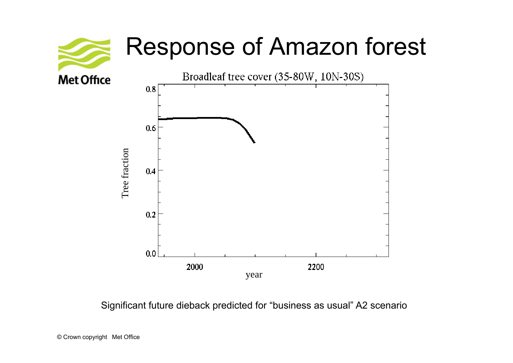

Significant future dieback predicted for "business as usual" A2 scenario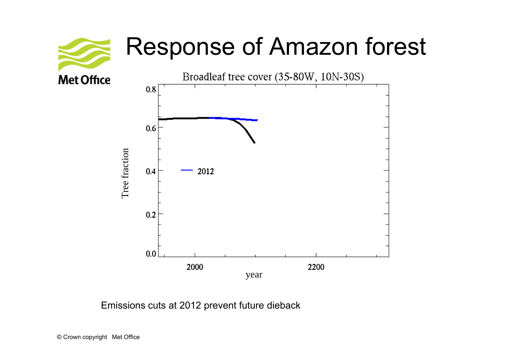### Response of Amazon forest



Emissions cuts at 2012 prevent future dieback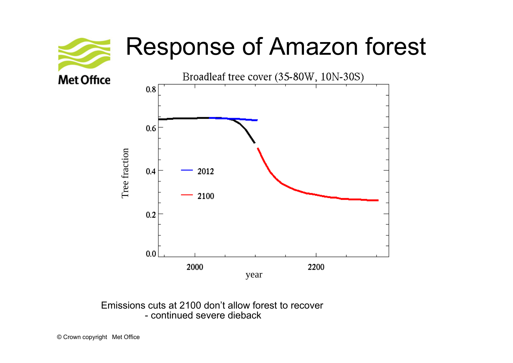### Response of Amazon forest



Emissions cuts at 2100 don't allow forest to recover- continued severe dieback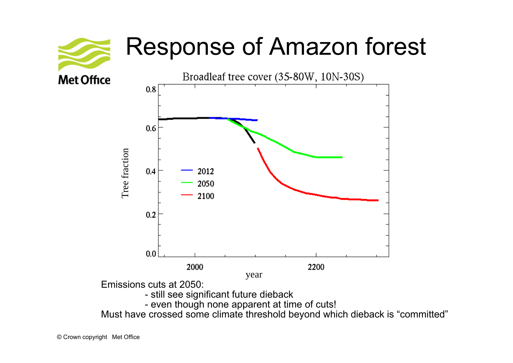### Response of Amazon forest



Must have crossed some climate threshold beyond which dieback is "committed"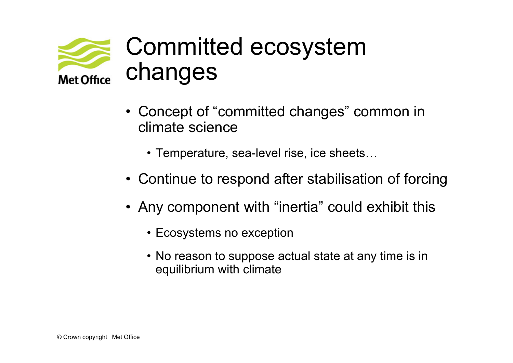

### Committed ecosystem changes

- Concept of "committed changes" common in climate science
	- Temperature, sea-level rise, ice sheets…
- Continue to respond after stabilisation of forcing
- Any component with "inertia" could exhibit this
	- Ecosystems no exception
	- No reason to suppose actual state at any time is in equilibrium with climate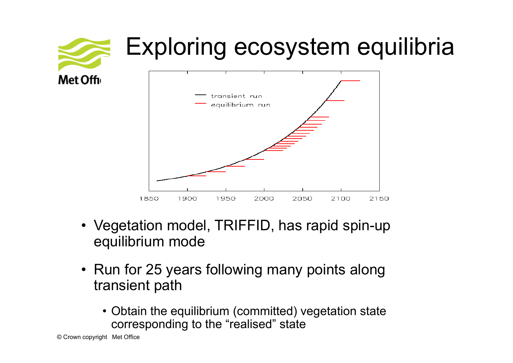

- Vegetation model, TRIFFID, has rapid spin-up equilibrium mode
- Run for 25 years following many points along transient path
	- Obtain the equilibrium (committed) vegetation state corresponding to the "realised" state

© Crown copyright Met Office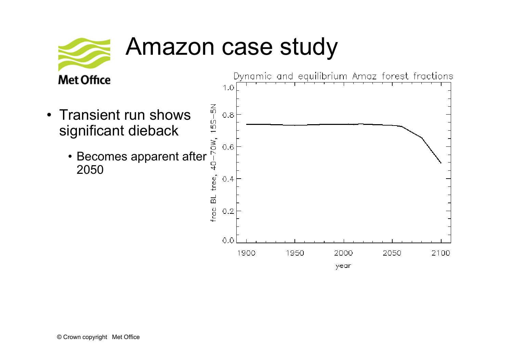

### Amazon case study

- Transient run shows significant dieback
	- Becomes apparent after 2050

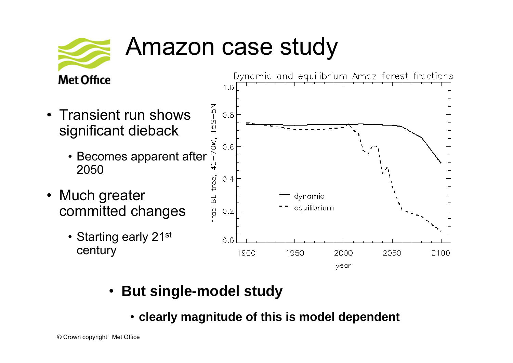

### Amazon case study

#### **Met Office**

- Transient run shows significant dieback
	- Becomes apparent after 2050
- • Much greater committed changes
	- Starting early 21st century



- **But single-model study**
	- **clearly magnitude of this is model dependent**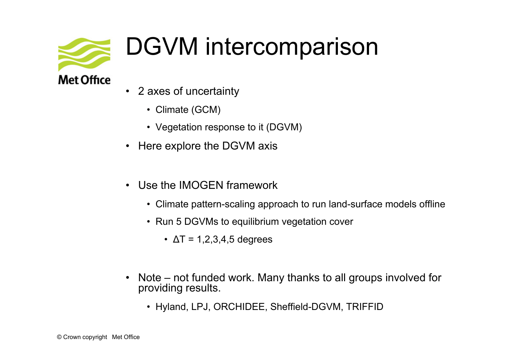

## DGVM intercomparison

• 2 axes of uncertainty

- Climate (GCM)
- Vegetation response to it (DGVM)
- Here explore the DGVM axis
- • Use the IMOGEN framework
	- Climate pattern-scaling approach to run land-surface models offline
	- Run 5 DGVMs to equilibrium vegetation cover
		- $\textcolor{black}{\bullet}$   $\Delta$ T = 1,2,3,4,5 degrees
- Note not funded work. Many thanks to all groups involved for providing results.
	- Hyland, LPJ, ORCHIDEE, Sheffield-DGVM, TRIFFID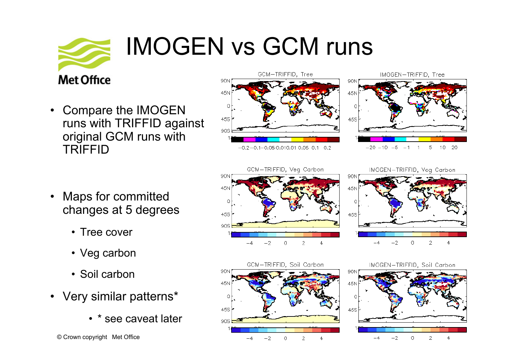# **Met Office**

#### • Compare the IMOGEN runs with TRIFFID against original GCM runs with TRIFFID



- • Maps for committed changes at 5 degrees
	- Tree cover
	- Veg carbon
	- Soil carbon
- Very similar patterns\*
	- \* see caveat later

© Crown copyright Met Office



IMOGEN vs GCM runs

IMOGEN-TRIFFID, Veg Carbon





IMOGEN-TRIFFID, Soil Carbon

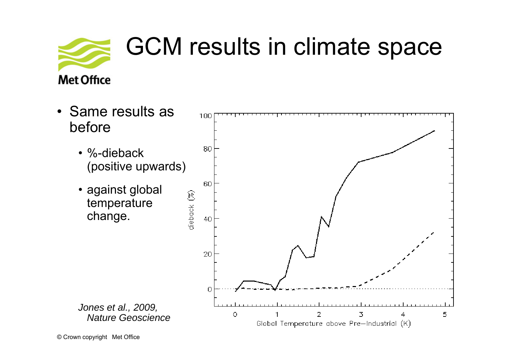

### GCM results in climate space

**Met Office** 

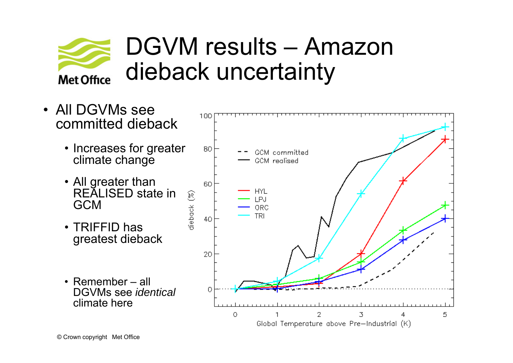

### DGVM results – Amazon dieback uncertainty

• All DGVMs see 100 committed dieback• Increases for greater 80 GCM committed climate change GCM realised • All greater than 60 HYL REALISED state in diepack (%) LPJ GCMORC TRI 40 • TRIFFID has greatest dieback 20 • Remember – all DGVMs see *identical* Ω climate here

O

3

2

Global Temperature above Pre-Industrial (K)

5

4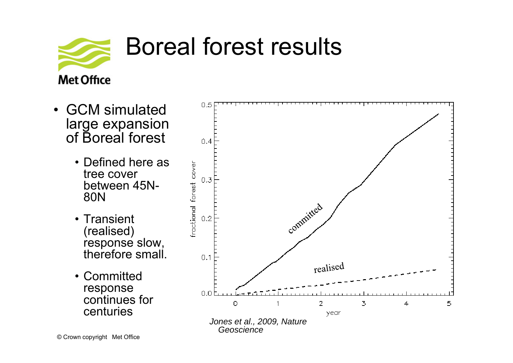

### Boreal forest results

- GCM simulated large expansion of Boreal forest
	- Defined here as tree cover between 45N-80N
	- Transient (realised) response slow, therefore small.
	- Committed response continues for centuries

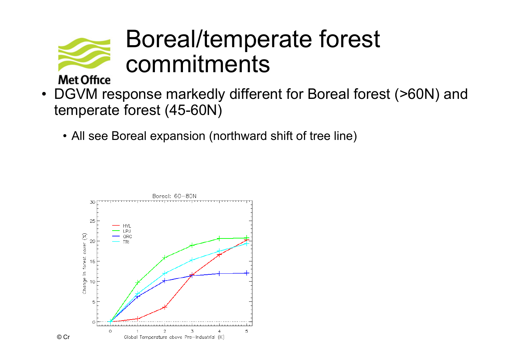

### Boreal/temperate forest commitments

- DGVM response markedly different for Boreal forest (>60N) and temperate forest (45-60N)
	- All see Boreal expansion (northward shift of tree line)

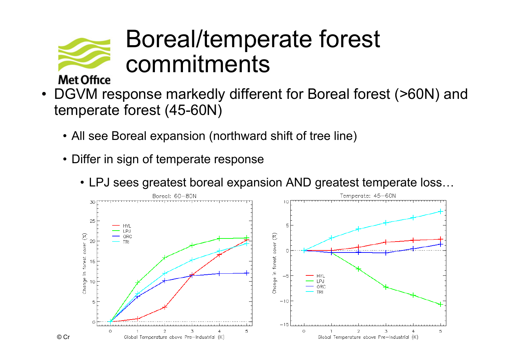

### Boreal/temperate forest commitments

- • DGVM response markedly different for Boreal forest (>60N) and temperate forest (45-60N)
	- All see Boreal expansion (northward shift of tree line)
	- Differ in sign of temperate response
		- LPJ sees greatest boreal expansion AND greatest temperate loss…

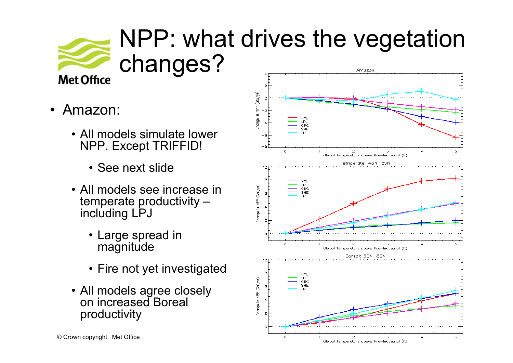

### NPP: what drives the vegetation changes? Amazon

- • Amazon:
	- All models simulate lower NPP. Except TRIFFID!
		- See next slide
	- All models see increase in temperate productivity – including LPJ
		- Large spread in magnitude
		- Fire not yet investigated
	- All models agree closely on increased Boreal productivity

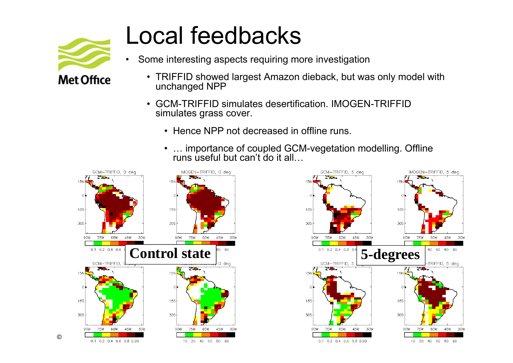

### Local feedbacks

- • Some interesting aspects requiring more investigation
	- TRIFFID showed largest Amazon dieback, but was only model with unchanged NPP
	- GCM-TRIFFID simulates desertification. IMOGEN-TRIFFID simulates grass cover.
		- Hence NPP not decreased in offline runs.
		- • … importance of coupled GCM-vegetation modelling. Offline runs useful but can't do it all…



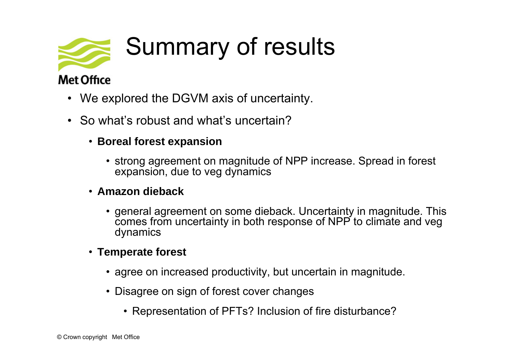

#### **Met Office**

- We explored the DGVM axis of uncertainty.
- So what's robust and what's uncertain?
	- **Boreal forest expansion**
		- strong agreement on magnitude of NPP increase. Spread in forest expansion, due to veg dynamics
	- **Amazon dieback**
		- general agreement on some dieback. Uncertainty in magnitude. This comes from uncertainty in both response of NPP to climate and veg dynamics
	- **Temperate forest**
		- agree on increased productivity, but uncertain in magnitude.
		- Disagree on sign of forest cover changes
			- Representation of PFTs? Inclusion of fire disturbance?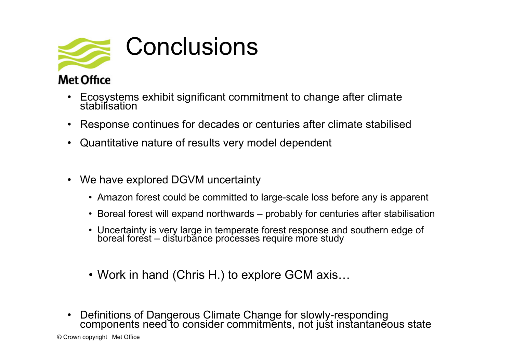

#### **Met Office**

- Ecosystems exhibit significant commitment to change after climate<br>stabilisation
- •Response continues for decades or centuries after climate stabilised
- Quantitative nature of results very model dependent
- We have explored DGVM uncertainty
	- Amazon forest could be committed to large-scale loss before any is apparent
	- Boreal forest will expand northwards probably for centuries after stabilisation
	- Uncertainty is very large in temperate forest response and southern edge of boreal forest disturbance processes require more study
	- Work in hand (Chris H.) to explore GCM axis…
- Definitions of Dangerous Climate Change for slowly-responding components need to consider commitments, not just instantaneous state

© Crown copyright Met Office